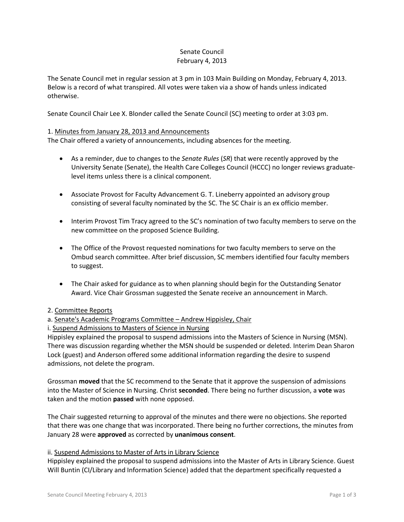#### Senate Council February 4, 2013

The Senate Council met in regular session at 3 pm in 103 Main Building on Monday, February 4, 2013. Below is a record of what transpired. All votes were taken via a show of hands unless indicated otherwise.

Senate Council Chair Lee X. Blonder called the Senate Council (SC) meeting to order at 3:03 pm.

## 1. Minutes from January 28, 2013 and Announcements

The Chair offered a variety of announcements, including absences for the meeting.

- As a reminder, due to changes to the *Senate Rules* (*SR*) that were recently approved by the University Senate (Senate), the Health Care Colleges Council (HCCC) no longer reviews graduatelevel items unless there is a clinical component.
- Associate Provost for Faculty Advancement G. T. Lineberry appointed an advisory group consisting of several faculty nominated by the SC. The SC Chair is an ex officio member.
- Interim Provost Tim Tracy agreed to the SC's nomination of two faculty members to serve on the new committee on the proposed Science Building.
- The Office of the Provost requested nominations for two faculty members to serve on the Ombud search committee. After brief discussion, SC members identified four faculty members to suggest.
- The Chair asked for guidance as to when planning should begin for the Outstanding Senator Award. Vice Chair Grossman suggested the Senate receive an announcement in March.

### 2. Committee Reports

# a. Senate's Academic Programs Committee – Andrew Hippisley, Chair

### i. Suspend Admissions to Masters of Science in Nursing

Hippisley explained the proposal to suspend admissions into the Masters of Science in Nursing (MSN). There was discussion regarding whether the MSN should be suspended or deleted. Interim Dean Sharon Lock (guest) and Anderson offered some additional information regarding the desire to suspend admissions, not delete the program.

Grossman **moved** that the SC recommend to the Senate that it approve the suspension of admissions into the Master of Science in Nursing. Christ **seconded**. There being no further discussion, a **vote** was taken and the motion **passed** with none opposed.

The Chair suggested returning to approval of the minutes and there were no objections. She reported that there was one change that was incorporated. There being no further corrections, the minutes from January 28 were **approved** as corrected by **unanimous consent**.

### ii. Suspend Admissions to Master of Arts in Library Science

Hippisley explained the proposal to suspend admissions into the Master of Arts in Library Science. Guest Will Buntin (CI/Library and Information Science) added that the department specifically requested a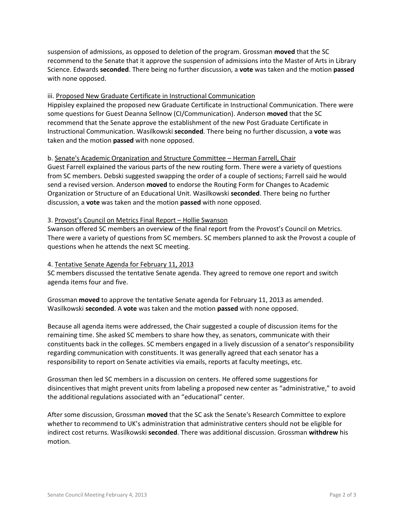suspension of admissions, as opposed to deletion of the program. Grossman **moved** that the SC recommend to the Senate that it approve the suspension of admissions into the Master of Arts in Library Science. Edwards **seconded**. There being no further discussion, a **vote** was taken and the motion **passed** with none opposed.

## iii. Proposed New Graduate Certificate in Instructional Communication

Hippisley explained the proposed new Graduate Certificate in Instructional Communication. There were some questions for Guest Deanna Sellnow (CI/Communication). Anderson **moved** that the SC recommend that the Senate approve the establishment of the new Post Graduate Certificate in Instructional Communication. Wasilkowski **seconded**. There being no further discussion, a **vote** was taken and the motion **passed** with none opposed.

### b. Senate's Academic Organization and Structure Committee – Herman Farrell, Chair

Guest Farrell explained the various parts of the new routing form. There were a variety of questions from SC members. Debski suggested swapping the order of a couple of sections; Farrell said he would send a revised version. Anderson **moved** to endorse the Routing Form for Changes to Academic Organization or Structure of an Educational Unit. Wasilkowski **seconded**. There being no further discussion, a **vote** was taken and the motion **passed** with none opposed.

### 3. Provost's Council on Metrics Final Report – Hollie Swanson

Swanson offered SC members an overview of the final report from the Provost's Council on Metrics. There were a variety of questions from SC members. SC members planned to ask the Provost a couple of questions when he attends the next SC meeting.

### 4. Tentative Senate Agenda for February 11, 2013

SC members discussed the tentative Senate agenda. They agreed to remove one report and switch agenda items four and five.

Grossman **moved** to approve the tentative Senate agenda for February 11, 2013 as amended. Wasilkowski **seconded**. A **vote** was taken and the motion **passed** with none opposed.

Because all agenda items were addressed, the Chair suggested a couple of discussion items for the remaining time. She asked SC members to share how they, as senators, communicate with their constituents back in the colleges. SC members engaged in a lively discussion of a senator's responsibility regarding communication with constituents. It was generally agreed that each senator has a responsibility to report on Senate activities via emails, reports at faculty meetings, etc.

Grossman then led SC members in a discussion on centers. He offered some suggestions for disincentives that might prevent units from labeling a proposed new center as "administrative," to avoid the additional regulations associated with an "educational" center.

After some discussion, Grossman **moved** that the SC ask the Senate's Research Committee to explore whether to recommend to UK's administration that administrative centers should not be eligible for indirect cost returns. Wasilkowski **seconded**. There was additional discussion. Grossman **withdrew** his motion.